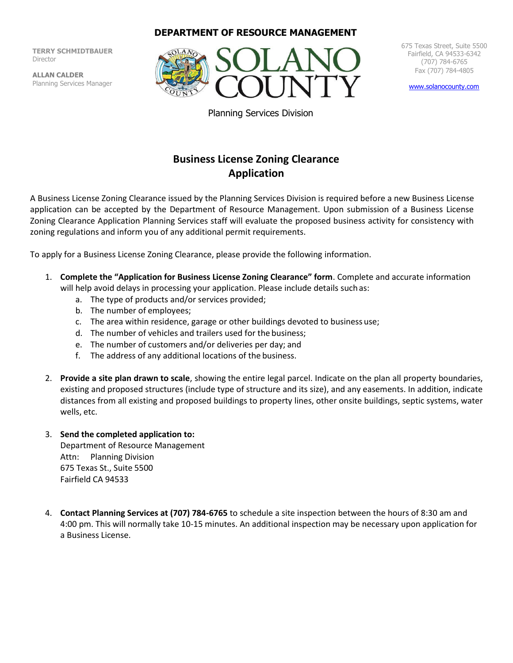**DEPARTMENT OF RESOURCE MANAGEMENT**

**TERRY SCHMIDTBAUER** Director

**ALLAN CALDER**  Planning Services Manager



675 Texas Street, Suite 5500 Fairfield, CA 94533-6342 (707) 784-6765 Fax (707) 784-4805

ww[w.solanocounty.com](http://www.solanocounty.com/)

Planning Services Division

# **Business License Zoning Clearance Application**

A Business License Zoning Clearance issued by the Planning Services Division is required before a new Business License application can be accepted by the Department of Resource Management. Upon submission of a Business License Zoning Clearance Application Planning Services staff will evaluate the proposed business activity for consistency with zoning regulations and inform you of any additional permit requirements.

To apply for a Business License Zoning Clearance, please provide the following information.

- 1. **Complete the "Application for Business License Zoning Clearance" form**. Complete and accurate information will help avoid delays in processing your application. Please include details suchas:
	- a. The type of products and/or services provided;
	- b. The number of employees;
	- c. The area within residence, garage or other buildings devoted to business use;
	- d. The number of vehicles and trailers used for the business;
	- e. The number of customers and/or deliveries per day; and
	- f. The address of any additional locations of the business.
- 2. **Provide a site plan drawn to scale**, showing the entire legal parcel. Indicate on the plan all property boundaries, existing and proposed structures (include type of structure and its size), and any easements. In addition, indicate distances from all existing and proposed buildings to property lines, other onsite buildings, septic systems, water wells, etc.
- 3. **Send the completed application to:**

Department of Resource Management Attn: Planning Division 675 Texas St., Suite 5500 Fairfield CA 94533

4. **Contact Planning Services at (707) 784-6765** to schedule a site inspection between the hours of 8:30 am and 4:00 pm. This will normally take 10-15 minutes. An additional inspection may be necessary upon application for a Business License.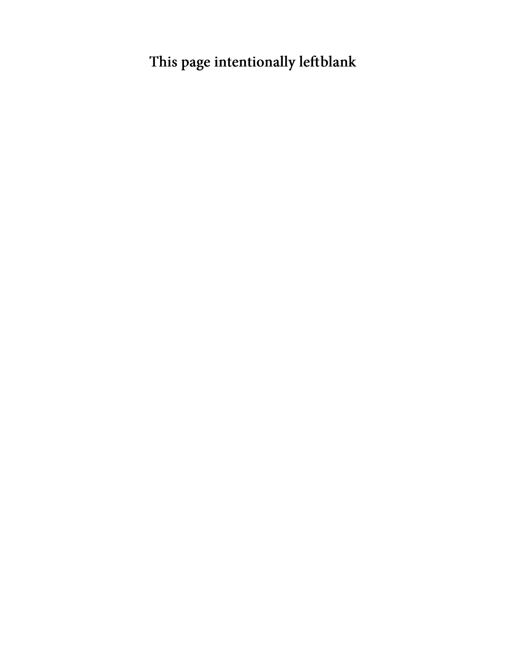This page intentionally leftblank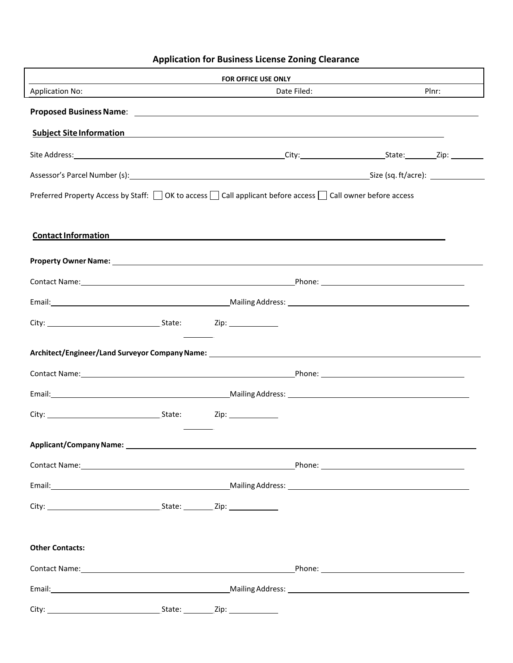## **Application for Business License Zoning Clearance**

|                                                                                                                             |  | FOR OFFICE USE ONLY |                                               |       |
|-----------------------------------------------------------------------------------------------------------------------------|--|---------------------|-----------------------------------------------|-------|
| <b>Application No:</b>                                                                                                      |  |                     | Date Filed:                                   | Plnr: |
|                                                                                                                             |  |                     |                                               |       |
| <b>Subject Site Information</b>                                                                                             |  |                     | <u> 1989 - Andrea Andrew Maria (h. 1989).</u> |       |
|                                                                                                                             |  |                     |                                               |       |
|                                                                                                                             |  |                     |                                               |       |
| Preferred Property Access by Staff: $\Box$ OK to access $\Box$ Call applicant before access $\Box$ Call owner before access |  |                     |                                               |       |
|                                                                                                                             |  |                     |                                               |       |
| <b>Contact Information Contact Information</b>                                                                              |  |                     |                                               |       |
|                                                                                                                             |  |                     |                                               |       |
|                                                                                                                             |  |                     |                                               |       |
|                                                                                                                             |  |                     |                                               |       |
|                                                                                                                             |  |                     |                                               |       |
|                                                                                                                             |  |                     |                                               |       |
| Architect/Engineer/Land Surveyor Company Name: __________________________________                                           |  |                     |                                               |       |
|                                                                                                                             |  |                     |                                               |       |
|                                                                                                                             |  |                     |                                               |       |
|                                                                                                                             |  |                     |                                               |       |
| Applicant/Company Name: Law March 2014 19:30 19:30 19:30 19:30 19:30 19:30 19:30 19:30 19:30 19:30 19:30 19:30              |  |                     |                                               |       |
|                                                                                                                             |  |                     |                                               |       |
|                                                                                                                             |  |                     |                                               |       |
|                                                                                                                             |  |                     |                                               |       |
|                                                                                                                             |  |                     |                                               |       |
| <b>Other Contacts:</b>                                                                                                      |  |                     |                                               |       |
|                                                                                                                             |  |                     |                                               |       |
|                                                                                                                             |  |                     |                                               |       |
|                                                                                                                             |  |                     |                                               |       |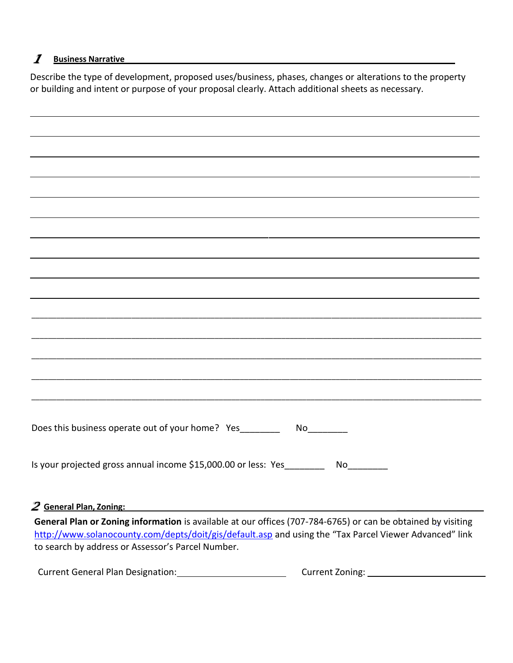## *1* **Business Narrative**

Describe the type of development, proposed uses/business, phases, changes or alterations to the property or building and intent or purpose of your proposal clearly. Attach additional sheets as necessary.

| Does this business operate out of your home? Yes_________________________________                            |
|--------------------------------------------------------------------------------------------------------------|
|                                                                                                              |
|                                                                                                              |
| Is your projected gross annual income \$15,000.00 or less: Yes________<br>$No \ \_$                          |
|                                                                                                              |
|                                                                                                              |
| $2$ General Plan, Zoning:                                                                                    |
| General Plan or Zoning information is available at our offices (707-784-6765) or can be obtained by visiting |
| http://www.solanocounty.com/depts/doit/gis/default.asp and using the "Tax Parcel Viewer Advanced" link       |
| to search by address or Assessor's Parcel Number.                                                            |

Current General Plan Designation: Current Zoning: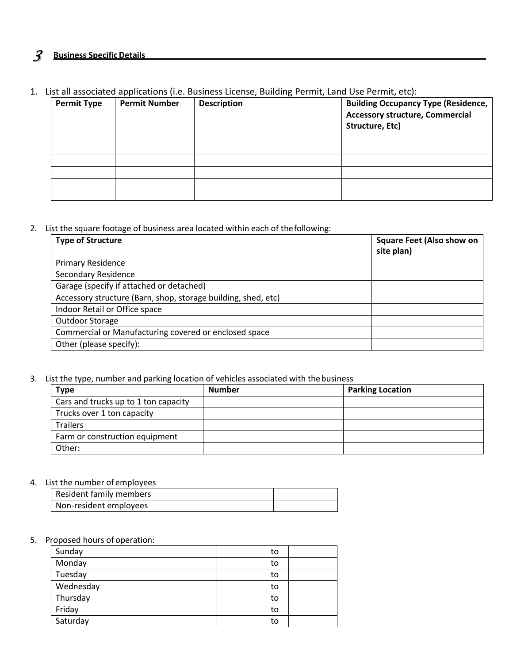#### **Business SpecificDetails**

1. List all associated applications (i.e. Business License, Building Permit, Land Use Permit, etc):

| <b>Permit Type</b> | <b>Permit Number</b> | <b>Description</b> | <b>Building Occupancy Type (Residence,  </b><br><b>Accessory structure, Commercial</b><br>Structure, Etc) |
|--------------------|----------------------|--------------------|-----------------------------------------------------------------------------------------------------------|
|                    |                      |                    |                                                                                                           |
|                    |                      |                    |                                                                                                           |
|                    |                      |                    |                                                                                                           |
|                    |                      |                    |                                                                                                           |
|                    |                      |                    |                                                                                                           |
|                    |                      |                    |                                                                                                           |

### 2. List the square footage of business area located within each of thefollowing:

| <b>Type of Structure</b>                                      | <b>Square Feet (Also show on</b><br>site plan) |
|---------------------------------------------------------------|------------------------------------------------|
| <b>Primary Residence</b>                                      |                                                |
| Secondary Residence                                           |                                                |
| Garage (specify if attached or detached)                      |                                                |
| Accessory structure (Barn, shop, storage building, shed, etc) |                                                |
| Indoor Retail or Office space                                 |                                                |
| Outdoor Storage                                               |                                                |
| Commercial or Manufacturing covered or enclosed space         |                                                |
| Other (please specify):                                       |                                                |

3. List the type, number and parking location of vehicles associated with thebusiness

| <b>Type</b>                          | <b>Number</b> | <b>Parking Location</b> |
|--------------------------------------|---------------|-------------------------|
| Cars and trucks up to 1 ton capacity |               |                         |
| Trucks over 1 ton capacity           |               |                         |
| <b>Trailers</b>                      |               |                         |
| Farm or construction equipment       |               |                         |
| Other:                               |               |                         |

### 4. List the number of employees

| Resident family members |  |
|-------------------------|--|
| Non-resident employees  |  |

## 5. Proposed hours of operation:

| Sunday    | to |  |
|-----------|----|--|
| Monday    | to |  |
| Tuesday   | to |  |
| Wednesday | to |  |
| Thursday  | to |  |
| Friday    | to |  |
| Saturday  | to |  |